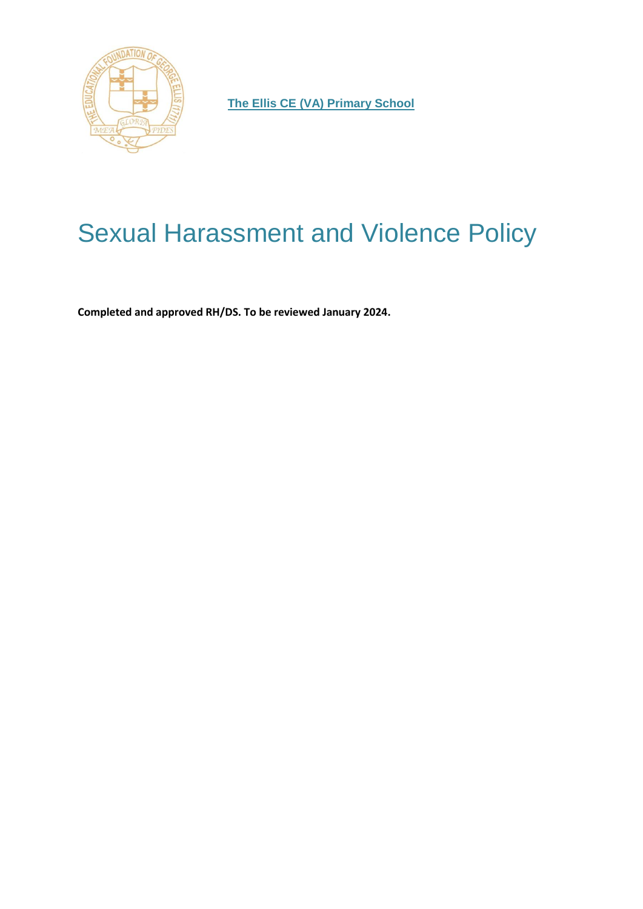

**The Ellis CE (VA) Primary School**

# Sexual Harassment and Violence Policy

**Completed and approved RH/DS. To be reviewed January 2024.**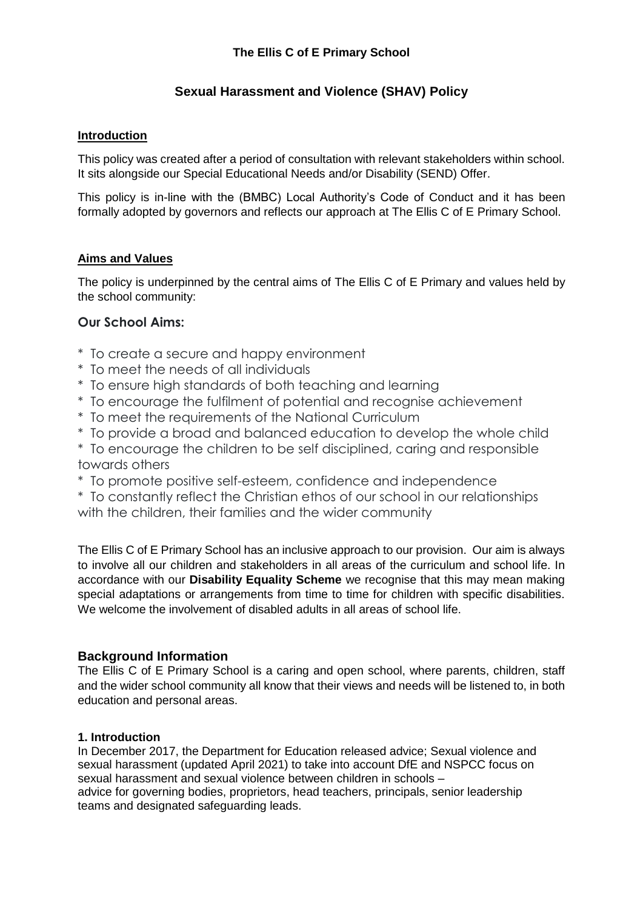## **Sexual Harassment and Violence (SHAV) Policy**

## **Introduction**

This policy was created after a period of consultation with relevant stakeholders within school. It sits alongside our Special Educational Needs and/or Disability (SEND) Offer.

This policy is in-line with the (BMBC) Local Authority's Code of Conduct and it has been formally adopted by governors and reflects our approach at The Ellis C of E Primary School.

## **Aims and Values**

The policy is underpinned by the central aims of The Ellis C of E Primary and values held by the school community:

## **Our School Aims:**

- \* To create a secure and happy environment
- \* To meet the needs of all individuals
- \* To ensure high standards of both teaching and learning
- \* To encourage the fulfilment of potential and recognise achievement
- \* To meet the requirements of the National Curriculum
- \* To provide a broad and balanced education to develop the whole child
- \* To encourage the children to be self disciplined, caring and responsible towards others
- \* To promote positive self-esteem, confidence and independence
- \* To constantly reflect the Christian ethos of our school in our relationships with the children, their families and the wider community

The Ellis C of E Primary School has an inclusive approach to our provision. Our aim is always to involve all our children and stakeholders in all areas of the curriculum and school life. In accordance with our **Disability Equality Scheme** we recognise that this may mean making special adaptations or arrangements from time to time for children with specific disabilities. We welcome the involvement of disabled adults in all areas of school life.

## **Background Information**

The Ellis C of E Primary School is a caring and open school, where parents, children, staff and the wider school community all know that their views and needs will be listened to, in both education and personal areas.

#### **1. Introduction**

In December 2017, the Department for Education released advice; Sexual violence and sexual harassment (updated April 2021) to take into account DfE and NSPCC focus on sexual harassment and sexual violence between children in schools – advice for governing bodies, proprietors, head teachers, principals, senior leadership teams and designated safeguarding leads.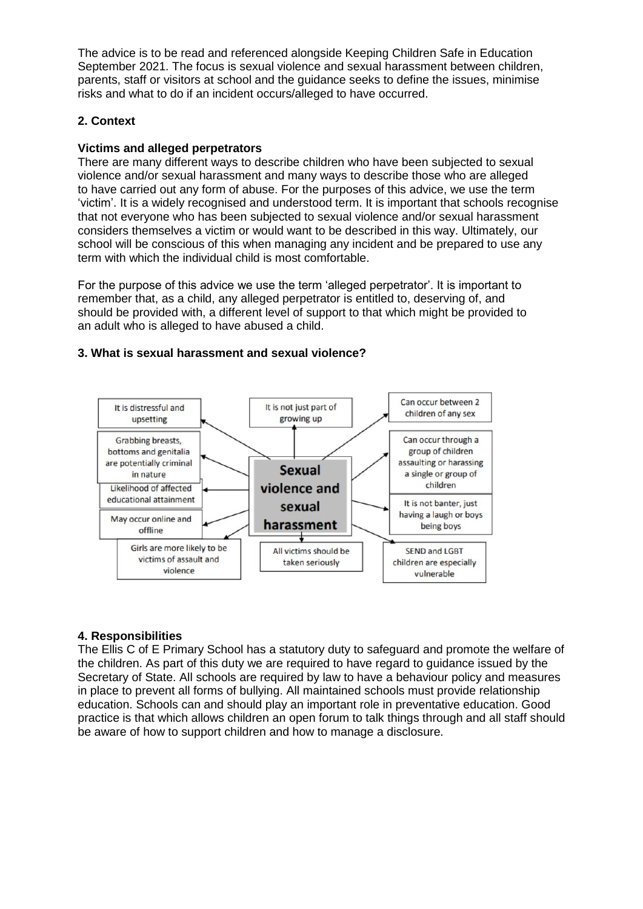The advice is to be read and referenced alongside Keeping Children Safe in Education September 2021. The focus is sexual violence and sexual harassment between children, parents, staff or visitors at school and the guidance seeks to define the issues, minimise risks and what to do if an incident occurs/alleged to have occurred.

#### **2. Context**

#### **Victims and alleged perpetrators**

There are many different ways to describe children who have been subjected to sexual violence and/or sexual harassment and many ways to describe those who are alleged to have carried out any form of abuse. For the purposes of this advice, we use the term 'victim'. It is a widely recognised and understood term. It is important that schools recognise that not everyone who has been subjected to sexual violence and/or sexual harassment considers themselves a victim or would want to be described in this way. Ultimately, our school will be conscious of this when managing any incident and be prepared to use any term with which the individual child is most comfortable.

For the purpose of this advice we use the term 'alleged perpetrator'. It is important to remember that, as a child, any alleged perpetrator is entitled to, deserving of, and should be provided with, a different level of support to that which might be provided to an adult who is alleged to have abused a child.

#### **3. What is sexual harassment and sexual violence?**



#### **4. Responsibilities**

The Ellis C of E Primary School has a statutory duty to safeguard and promote the welfare of the children. As part of this duty we are required to have regard to guidance issued by the Secretary of State. All schools are required by law to have a behaviour policy and measures in place to prevent all forms of bullying. All maintained schools must provide relationship education. Schools can and should play an important role in preventative education. Good practice is that which allows children an open forum to talk things through and all staff should be aware of how to support children and how to manage a disclosure.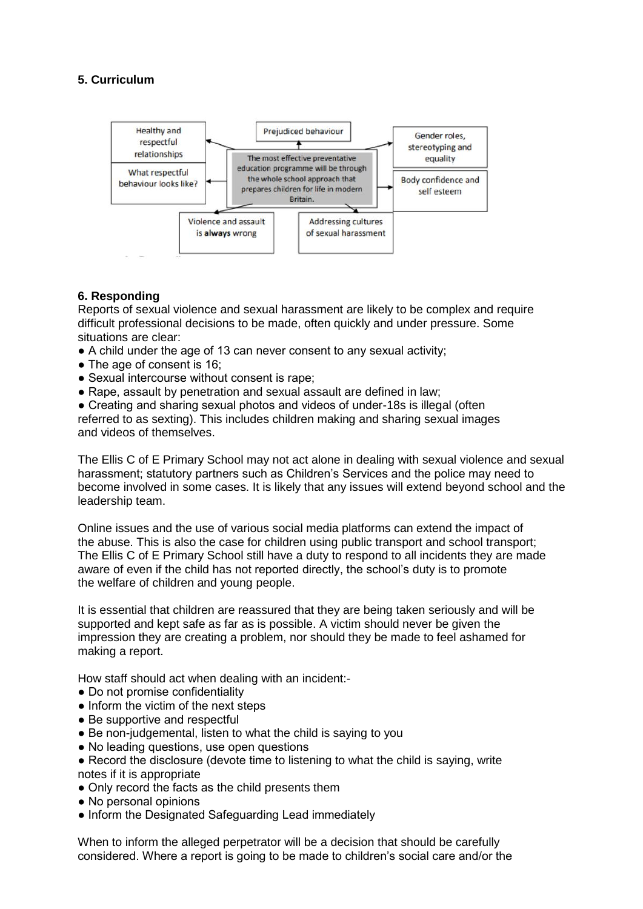## **5. Curriculum**



## **6. Responding**

Reports of sexual violence and sexual harassment are likely to be complex and require difficult professional decisions to be made, often quickly and under pressure. Some situations are clear:

- A child under the age of 13 can never consent to any sexual activity;
- The age of consent is 16:
- Sexual intercourse without consent is rape;
- Rape, assault by penetration and sexual assault are defined in law;

• Creating and sharing sexual photos and videos of under-18s is illegal (often referred to as sexting). This includes children making and sharing sexual images and videos of themselves.

The Ellis C of E Primary School may not act alone in dealing with sexual violence and sexual harassment; statutory partners such as Children's Services and the police may need to become involved in some cases. It is likely that any issues will extend beyond school and the leadership team.

Online issues and the use of various social media platforms can extend the impact of the abuse. This is also the case for children using public transport and school transport; The Ellis C of E Primary School still have a duty to respond to all incidents they are made aware of even if the child has not reported directly, the school's duty is to promote the welfare of children and young people.

It is essential that children are reassured that they are being taken seriously and will be supported and kept safe as far as is possible. A victim should never be given the impression they are creating a problem, nor should they be made to feel ashamed for making a report.

How staff should act when dealing with an incident:-

- Do not promise confidentiality
- Inform the victim of the next steps
- Be supportive and respectful
- Be non-judgemental, listen to what the child is saying to you
- No leading questions, use open questions
- Record the disclosure (devote time to listening to what the child is saying, write
- notes if it is appropriate
- Only record the facts as the child presents them
- No personal opinions
- Inform the Designated Safeguarding Lead immediately

When to inform the alleged perpetrator will be a decision that should be carefully considered. Where a report is going to be made to children's social care and/or the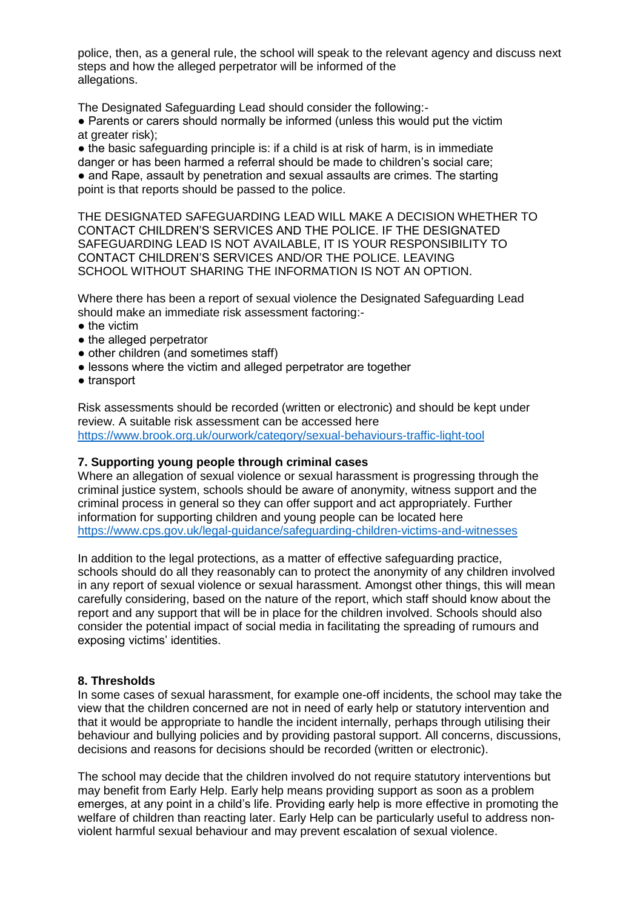police, then, as a general rule, the school will speak to the relevant agency and discuss next steps and how the alleged perpetrator will be informed of the allegations.

The Designated Safeguarding Lead should consider the following:-

● Parents or carers should normally be informed (unless this would put the victim at greater risk);

 $\bullet$  the basic safeguarding principle is: if a child is at risk of harm, is in immediate danger or has been harmed a referral should be made to children's social care; ● and Rape, assault by penetration and sexual assaults are crimes. The starting point is that reports should be passed to the police.

THE DESIGNATED SAFEGUARDING LEAD WILL MAKE A DECISION WHETHER TO CONTACT CHILDREN'S SERVICES AND THE POLICE. IF THE DESIGNATED SAFEGUARDING LEAD IS NOT AVAILABLE, IT IS YOUR RESPONSIBILITY TO CONTACT CHILDREN'S SERVICES AND/OR THE POLICE. LEAVING SCHOOL WITHOUT SHARING THE INFORMATION IS NOT AN OPTION.

Where there has been a report of sexual violence the Designated Safeguarding Lead should make an immediate risk assessment factoring:-

- the victim
- the alleged perpetrator
- other children (and sometimes staff)
- lessons where the victim and alleged perpetrator are together
- transport

Risk assessments should be recorded (written or electronic) and should be kept under review. A suitable risk assessment can be accessed here <https://www.brook.org.uk/ourwork/category/sexual-behaviours-traffic-light-tool>

#### **7. Supporting young people through criminal cases**

Where an allegation of sexual violence or sexual harassment is progressing through the criminal justice system, schools should be aware of anonymity, witness support and the criminal process in general so they can offer support and act appropriately. Further information for supporting children and young people can be located here <https://www.cps.gov.uk/legal-guidance/safeguarding-children-victims-and-witnesses>

In addition to the legal protections, as a matter of effective safeguarding practice, schools should do all they reasonably can to protect the anonymity of any children involved in any report of sexual violence or sexual harassment. Amongst other things, this will mean carefully considering, based on the nature of the report, which staff should know about the report and any support that will be in place for the children involved. Schools should also consider the potential impact of social media in facilitating the spreading of rumours and exposing victims' identities.

#### **8. Thresholds**

In some cases of sexual harassment, for example one-off incidents, the school may take the view that the children concerned are not in need of early help or statutory intervention and that it would be appropriate to handle the incident internally, perhaps through utilising their behaviour and bullying policies and by providing pastoral support. All concerns, discussions, decisions and reasons for decisions should be recorded (written or electronic).

The school may decide that the children involved do not require statutory interventions but may benefit from Early Help. Early help means providing support as soon as a problem emerges, at any point in a child's life. Providing early help is more effective in promoting the welfare of children than reacting later. Early Help can be particularly useful to address nonviolent harmful sexual behaviour and may prevent escalation of sexual violence.